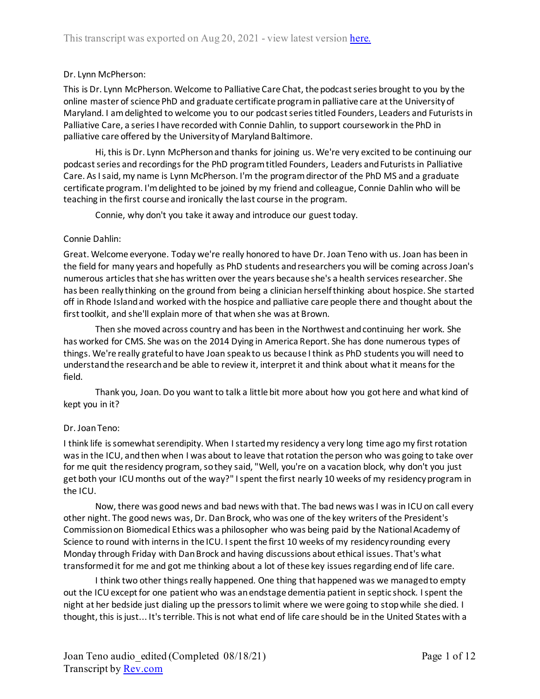# Dr. Lynn McPherson:

This is Dr. Lynn McPherson. Welcome to Palliative Care Chat, the podcast series brought to you by the online master of science PhD and graduate certificate program in palliative care at the University of Maryland. I am delighted to welcome you to our podcast series titled Founders, Leaders and Futurists in Palliative Care, a series I have recorded with Connie Dahlin, to support coursework in the PhD in palliative care offered by the University of Maryland Baltimore.

Hi, this is Dr. Lynn McPherson and thanks for joining us. We're very excited to be continuing our podcast series and recordings for the PhD program titled Founders, Leaders and Futurists in Palliative Care. As I said, my name is Lynn McPherson. I'm the program director of the PhD MS and a graduate certificate program. I'm delighted to be joined by my friend and colleague, Connie Dahlin who will be teaching in the first course and ironically the last course in the program.

Connie, why don't you take it away and introduce our guest today.

### Connie Dahlin:

Great. Welcome everyone. Today we're really honored to have Dr. Joan Teno with us. Joan has been in the field for many years and hopefully as PhD students and researchers you will be coming across Joan's numerous articles that she has written over the years because she's a health services researcher. She has been really thinking on the ground from being a clinician herself thinking about hospice. She started off in Rhode Island and worked with the hospice and palliative care people there and thought about the first toolkit, and she'll explain more of that when she was at Brown.

Then she moved across country and has been in the Northwest and continuing her work. She has worked for CMS. She was on the 2014 Dying in America Report. She has done numerous types of things. We're really grateful to have Joan speak to us because I think as PhD students you will need to understand the research and be able to review it, interpret it and think about what it means for the field.

Thank you, Joan. Do you want to talk a little bit more about how you got here and what kind of kept you in it?

# Dr. Joan Teno:

I think life is somewhat serendipity. When I started my residency a very long time ago my first rotation was in the ICU, and then when I was about to leave that rotation the person who was going to take over for me quit the residency program, so they said, "Well, you're on a vacation block, why don't you just get both your ICU months out of the way?" I spent the first nearly 10 weeks of my residency program in the ICU.

Now, there was good news and bad news with that. The bad news was I was in ICU on call every other night. The good news was, Dr. Dan Brock, who was one of the key writers of the President's Commission on Biomedical Ethics was a philosopher who was being paid by the National Academy of Science to round with interns in the ICU. I spent the first 10 weeks of my residency rounding every Monday through Friday with Dan Brock and having discussions about ethical issues. That's what transformed it for me and got me thinking about a lot of these key issues regarding end of life care.

I think two other things really happened. One thing that happened was we managed to empty out the ICU except for one patient who was an endstage dementia patient in septic shock. I spent the night at her bedside just dialing up the pressors to limit where we were going to stop while she died. I thought, this is just... It's terrible. This is not what end of life care should be in the United States with a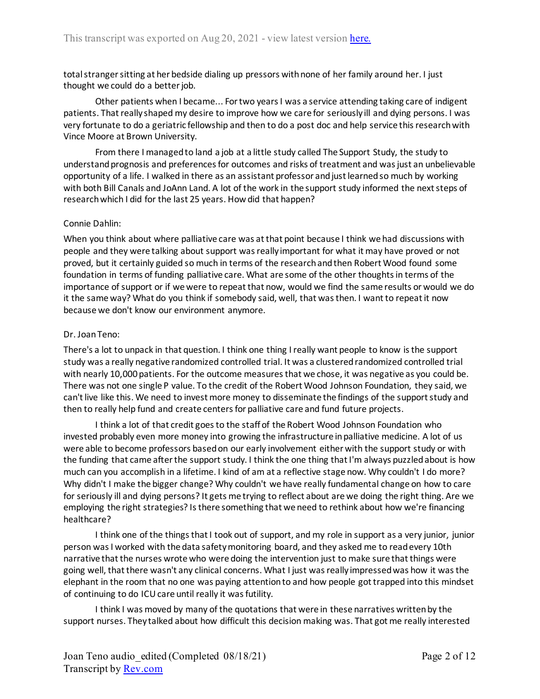total stranger sitting at her bedside dialing up pressors with none of her family around her. I just thought we could do a better job.

Other patients when I became... For two years I was a service attending taking care of indigent patients. That really shaped my desire to improve how we care for seriously ill and dying persons. I was very fortunate to do a geriatric fellowship and then to do a post doc and help service this research with Vince Moore at Brown University.

From there I managed to land a job at a little study called The Support Study, the study to understand prognosis and preferences for outcomes and risks of treatment and was just an unbelievable opportunity of a life. I walked in there as an assistant professor and just learned so much by working with both Bill Canals and JoAnn Land. A lot of the work in the support study informed the next steps of research which I did for the last 25 years. How did that happen?

### Connie Dahlin:

When you think about where palliative care was at that point because I think we had discussions with people and they were talking about support was really important for what it may have proved or not proved, but it certainly guided so much in terms of the research and then Robert Wood found some foundation in terms of funding palliative care. What are some of the other thoughts in terms of the importance of support or if we were to repeat that now, would we find the same results or would we do it the same way? What do you think if somebody said, well, that was then. I want to repeat it now because we don't know our environment anymore.

### Dr. Joan Teno:

There's a lot to unpack in that question. I think one thing I really want people to know is the support study was a really negative randomized controlled trial. It was a clustered randomized controlled trial with nearly 10,000 patients. For the outcome measures that we chose, it was negative as you could be. There was not one single P value. To the credit of the Robert Wood Johnson Foundation, they said, we can't live like this. We need to invest more money to disseminate the findings of the support study and then to really help fund and create centers for palliative care and fund future projects.

I think a lot of that credit goes to the staff of the Robert Wood Johnson Foundation who invested probably even more money into growing the infrastructure in palliative medicine. A lot of us were able to become professors based on our early involvement either with the support study or with the funding that came after the support study. I think the one thing that I'm always puzzled about is how much can you accomplish in a lifetime. I kind of am at a reflective stage now. Why couldn't I do more? Why didn't I make the bigger change? Why couldn't we have really fundamental change on how to care for seriously ill and dying persons? It gets me trying to reflect about are we doing the right thing. Are we employing the right strategies? Is there something that we need to rethink about how we're financing healthcare?

I think one of the things that I took out of support, and my role in support as a very junior, junior person was I worked with the data safety monitoring board, and they asked me to read every 10th narrative that the nurses wrote who were doing the intervention just to make sure that things were going well, that there wasn't any clinical concerns. What I just was really impressed was how it was the elephant in the room that no one was paying attention to and how people got trapped into this mindset of continuing to do ICU care until really it was futility.

I think I was moved by many of the quotations that were in these narratives written by the support nurses. They talked about how difficult this decision making was. That got me really interested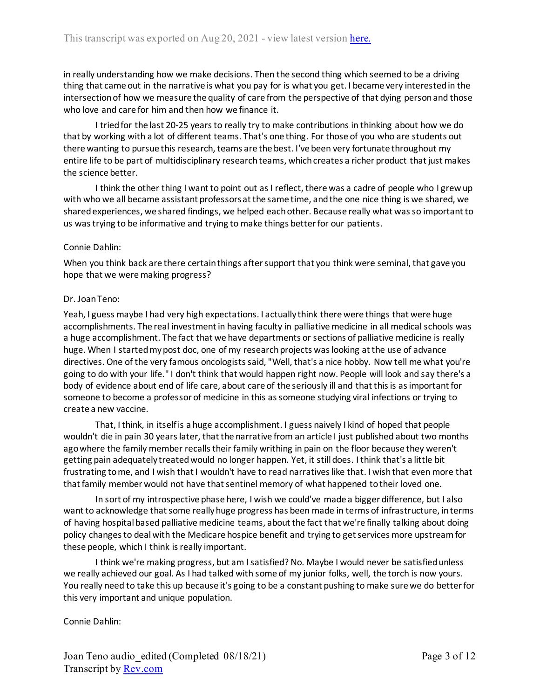in really understanding how we make decisions. Then the second thing which seemed to be a driving thing that came out in the narrative is what you pay for is what you get. I became very interested in the intersection of how we measure the quality of care from the perspective of that dying person and those who love and care for him and then how we finance it.

I tried for the last 20-25 years to really try to make contributions in thinking about how we do that by working with a lot of different teams. That's one thing. For those of you who are students out there wanting to pursue this research, teams are the best. I've been very fortunate throughout my entire life to be part of multidisciplinary research teams, which creates a richer product that just makes the science better.

I think the other thing I want to point out as I reflect, there was a cadre of people who I grew up with who we all became assistant professors at the same time, and the one nice thing is we shared, we shared experiences, we shared findings, we helped each other. Because really what was so important to us was trying to be informative and trying to make things better for our patients.

#### Connie Dahlin:

When you think back are there certain things after support that you think were seminal, that gave you hope that we were making progress?

#### Dr. Joan Teno:

Yeah, I guess maybe I had very high expectations. I actually think there were things that were huge accomplishments. The real investment in having faculty in palliative medicine in all medical schools was a huge accomplishment. The fact that we have departments or sections of palliative medicine is really huge. When I started my post doc, one of my research projects was looking at the use of advance directives. One of the very famous oncologists said, "Well, that's a nice hobby. Now tell me what you're going to do with your life." I don't think that would happen right now. People will look and say there's a body of evidence about end of life care, about care of the seriously ill and that this is as important for someone to become a professor of medicine in this as someone studying viral infections or trying to create a new vaccine.

That, I think, in itself is a huge accomplishment. I guess naively I kind of hoped that people wouldn't die in pain 30 years later, that the narrative from an article I just published about two months ago where the family member recalls their family writhing in pain on the floor because they weren't getting pain adequately treated would no longer happen. Yet, it still does. I think that's a little bit frustrating to me, and I wish that I wouldn't have to read narratives like that. I wish that even more that that family member would not have that sentinel memory of what happened to their loved one.

In sort of my introspective phase here, I wish we could've made a bigger difference, but I also want to acknowledge that some really huge progress has been made in terms of infrastructure, in terms of having hospital based palliative medicine teams, about the fact that we're finally talking about doing policy changes to deal with the Medicare hospice benefit and trying to get services more upstream for these people, which I think is really important.

I think we're making progress, but am I satisfied? No. Maybe I would never be satisfied unless we really achieved our goal. As I had talked with some of my junior folks, well, the torch is now yours. You really need to take this up because it's going to be a constant pushing to make sure we do better for this very important and unique population.

# Connie Dahlin: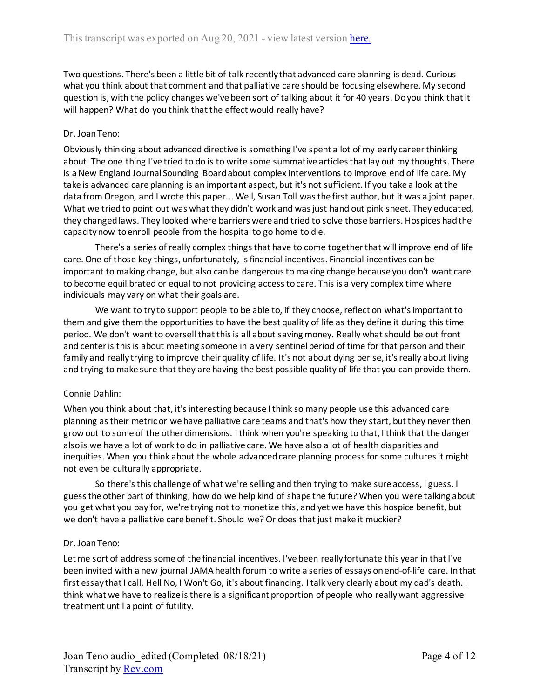Two questions. There's been a little bit of talk recently that advanced care planning is dead. Curious what you think about that comment and that palliative care should be focusing elsewhere. My second question is, with the policy changes we've been sort of talking about it for 40 years. Do you think that it will happen? What do you think that the effect would really have?

# Dr. Joan Teno:

Obviously thinking about advanced directive is something I've spent a lot of my early career thinking about. The one thing I've tried to do is to write some summative articles that lay out my thoughts. There is a New England Journal Sounding Board about complex interventions to improve end of life care. My take is advanced care planning is an important aspect, but it's not sufficient. If you take a look at the data from Oregon, and I wrote this paper... Well, Susan Toll was the first author, but it was a joint paper. What we tried to point out was what they didn't work and was just hand out pink sheet. They educated, they changed laws. They looked where barriers were and tried to solve those barriers. Hospices had the capacity now to enroll people from the hospital to go home to die.

There's a series of really complex things that have to come together that will improve end of life care. One of those key things, unfortunately, is financial incentives. Financial incentives can be important to making change, but also can be dangerous to making change because you don't want care to become equilibrated or equal to not providing access to care. This is a very complex time where individuals may vary on what their goals are.

We want to try to support people to be able to, if they choose, reflect on what's important to them and give them the opportunities to have the best quality of life as they define it during this time period. We don't want to oversell that this is all about saving money. Really what should be out front and center is this is about meeting someone in a very sentinel period of time for that person and their family and really trying to improve their quality of life. It's not about dying per se, it's really about living and trying to make sure that they are having the best possible quality of life that you can provide them.

# Connie Dahlin:

When you think about that, it's interesting because I think so many people use this advanced care planning as their metric or we have palliative care teams and that's how they start, but they never then grow out to some of the other dimensions. I think when you're speaking to that, I think that the danger also is we have a lot of work to do in palliative care. We have also a lot of health disparities and inequities. When you think about the whole advanced care planning process for some cultures it might not even be culturally appropriate.

So there's this challenge of what we're selling and then trying to make sure access, I guess. I guess the other part of thinking, how do we help kind of shape the future? When you were talking about you get what you pay for, we're trying not to monetize this, and yet we have this hospice benefit, but we don't have a palliative care benefit. Should we? Or does that just make it muckier?

# Dr. Joan Teno:

Let me sort of address some of the financial incentives. I've been really fortunate this year in that I've been invited with a new journal JAMA health forum to write a series of essays on end-of-life care. In that first essay that I call, Hell No, I Won't Go, it's about financing. I talk very clearly about my dad's death. I think what we have to realize is there is a significant proportion of people who really want aggressive treatment until a point of futility.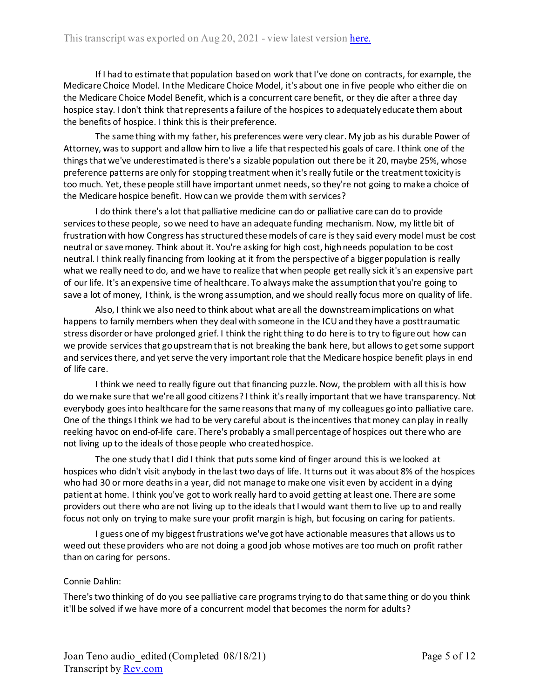If I had to estimate that population based on work that I've done on contracts, for example, the Medicare Choice Model. In the Medicare Choice Model, it's about one in five people who either die on the Medicare Choice Model Benefit, which is a concurrent care benefit, or they die after a three day hospice stay. I don't think that represents a failure of the hospices to adequately educate them about the benefits of hospice. I think this is their preference.

The same thing with my father, his preferences were very clear. My job as his durable Power of Attorney, was to support and allow him to live a life that respected his goals of care. I think one of the things that we've underestimated is there's a sizable population out there be it 20, maybe 25%, whose preference patterns are only for stopping treatment when it's really futile or the treatment toxicity is too much. Yet, these people still have important unmet needs, so they're not going to make a choice of the Medicare hospice benefit. How can we provide them with services?

I do think there's a lot that palliative medicine can do or palliative care can do to provide services to these people, so we need to have an adequate funding mechanism. Now, my little bit of frustration with how Congress has structured these models of care is they said every model must be cost neutral or save money. Think about it. You're asking for high cost, high needs population to be cost neutral. I think really financing from looking at it from the perspective of a bigger population is really what we really need to do, and we have to realize that when people get really sick it's an expensive part of our life. It's an expensive time of healthcare. To always make the assumption that you're going to save a lot of money, I think, is the wrong assumption, and we should really focus more on quality of life.

Also, I think we also need to think about what are all the downstream implications on what happens to family members when they deal with someone in the ICU and they have a posttraumatic stress disorder or have prolonged grief. I think the right thing to do here is to try to figure out how can we provide services that go upstream that is not breaking the bank here, but allows to get some support and services there, and yet serve the very important role that the Medicare hospice benefit plays in end of life care.

I think we need to really figure out that financing puzzle. Now, the problem with all this is how do we make sure that we're all good citizens? I think it's really important that we have transparency. Not everybody goes into healthcare for the same reasons that many of my colleagues go into palliative care. One of the things I think we had to be very careful about is the incentives that money can play in really reeking havoc on end-of-life care. There's probably a small percentage of hospices out there who are not living up to the ideals of those people who created hospice.

The one study that I did I think that puts some kind of finger around this is we looked at hospices who didn't visit anybody in the last two days of life. It turns out it was about 8% of the hospices who had 30 or more deaths in a year, did not manage to make one visit even by accident in a dying patient at home. I think you've got to work really hard to avoid getting at least one. There are some providers out there who are not living up to the ideals that I would want them to live up to and really focus not only on trying to make sure your profit margin is high, but focusing on caring for patients.

I guess one of my biggest frustrations we've got have actionable measures that allows us to weed out these providers who are not doing a good job whose motives are too much on profit rather than on caring for persons.

#### Connie Dahlin:

There's two thinking of do you see palliative care programs trying to do that same thing or do you think it'll be solved if we have more of a concurrent model that becomes the norm for adults?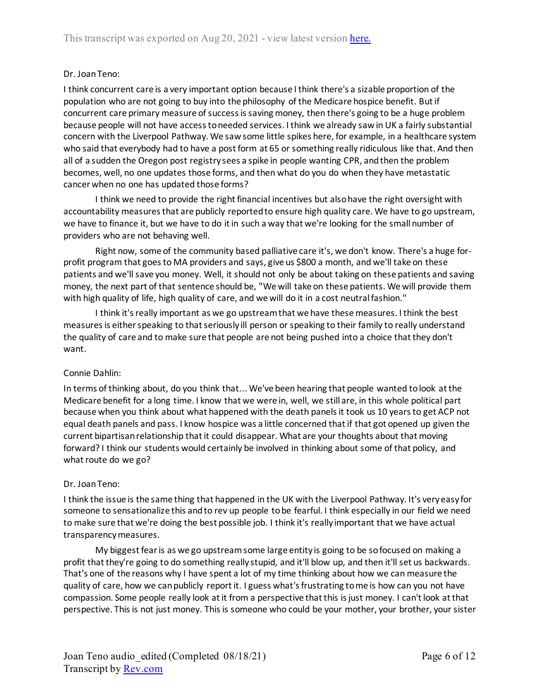# Dr. Joan Teno:

I think concurrent care is a very important option because I think there's a sizable proportion of the population who are not going to buy into the philosophy of the Medicare hospice benefit. But if concurrent care primary measure of success is saving money, then there's going to be a huge problem because people will not have access to needed services. I think we already saw in UK a fairly substantial concern with the Liverpool Pathway. We saw some little spikes here, for example, in a healthcare system who said that everybody had to have a post form at 65 or something really ridiculous like that. And then all of a sudden the Oregon post registry sees a spike in people wanting CPR, and then the problem becomes, well, no one updates those forms, and then what do you do when they have metastatic cancer when no one has updated those forms?

I think we need to provide the right financial incentives but also have the right oversight with accountability measures that are publicly reported to ensure high quality care. We have to go upstream, we have to finance it, but we have to do it in such a way that we're looking for the small number of providers who are not behaving well.

Right now, some of the community based palliative care it's, we don't know. There's a huge forprofit program that goes to MA providers and says, give us \$800 a month, and we'll take on these patients and we'll save you money. Well, it should not only be about taking on these patients and saving money, the next part of that sentence should be, "We will take on these patients. We will provide them with high quality of life, high quality of care, and we will do it in a cost neutral fashion."

I think it's really important as we go upstream that we have these measures. I think the best measures is either speaking to that seriously ill person or speaking to their family to really understand the quality of care and to make sure that people are not being pushed into a choice that they don't want.

# Connie Dahlin:

In terms of thinking about, do you think that... We've been hearing that people wanted to look at the Medicare benefit for a long time. I know that we were in, well, we still are, in this whole political part because when you think about what happened with the death panels it took us 10 years to get ACP not equal death panels and pass. I know hospice was a little concerned that if that got opened up given the current bipartisan relationship that it could disappear. What are your thoughts about that moving forward? I think our students would certainly be involved in thinking about some of that policy, and what route do we go?

# Dr. Joan Teno:

I think the issue is the same thing that happened in the UK with the Liverpool Pathway. It's very easy for someone to sensationalize this and to rev up people to be fearful. I think especially in our field we need to make sure that we're doing the best possible job. I think it's really important that we have actual transparency measures.

My biggest fear is as we go upstream some large entity is going to be so focused on making a profit that they're going to do something really stupid, and it'll blow up, and then it'll set us backwards. That's one of the reasons why I have spent a lot of my time thinking about how we can measure the quality of care, how we can publicly report it. I guess what's frustrating to me is how can you not have compassion. Some people really look at it from a perspective that this is just money. I can't look at that perspective. This is not just money. This is someone who could be your mother, your brother, your sister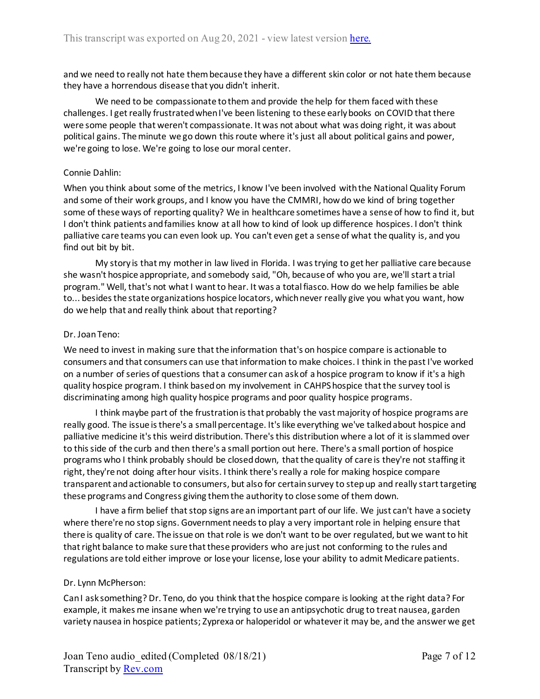and we need to really not hate them because they have a different skin color or not hate them because they have a horrendous disease that you didn't inherit.

We need to be compassionate to them and provide the help for them faced with these challenges. I get really frustrated when I've been listening to these early books on COVID that there were some people that weren't compassionate. It was not about what was doing right, it was about political gains. The minute we go down thisroute where it's just all about political gains and power, we're going to lose. We're going to lose our moral center.

### Connie Dahlin:

When you think about some of the metrics, I know I've been involved with the National Quality Forum and some of their work groups, and I know you have the CMMRI, how do we kind of bring together some of these ways of reporting quality? We in healthcare sometimes have a sense of how to find it, but I don't think patients and families know at all how to kind of look up difference hospices. I don't think palliative care teams you can even look up. You can't even get a sense of what the quality is, and you find out bit by bit.

My story is that my mother in law lived in Florida. I was trying to get her palliative care because she wasn't hospice appropriate, and somebody said, "Oh, because of who you are, we'll start a trial program." Well, that's not what I want to hear. It was a total fiasco. How do we help families be able to... besides the state organizations hospice locators, which never really give you what you want, how do we help that and really think about that reporting?

### Dr. Joan Teno:

We need to invest in making sure that the information that's on hospice compare is actionable to consumers and that consumers can use that information to make choices. I think in the past I've worked on a number of series of questions that a consumer can ask of a hospice program to know if it's a high quality hospice program. I think based on my involvement in CAHPS hospice that the survey tool is discriminating among high quality hospice programs and poor quality hospice programs.

I think maybe part of the frustration is that probably the vast majority of hospice programs are really good. The issue is there's a small percentage. It's like everything we've talked about hospice and palliative medicine it's this weird distribution. There's this distribution where a lot of it is slammed over to this side of the curb and then there's a small portion out here. There's a small portion of hospice programs who I think probably should be closed down, that the quality of care is they're not staffing it right, they're not doing after hour visits. I think there's really a role for making hospice compare transparent and actionable to consumers, but also for certain survey to step up and really start targeting these programs and Congress giving them the authority to close some of them down.

I have a firm belief that stop signs are an important part of our life. We just can't have a society where there're no stop signs. Government needs to play a very important role in helping ensure that there is quality of care. The issue on that role is we don't want to be over regulated, but we want to hit that right balance to make sure that these providers who are just not conforming to the rules and regulations are told either improve or lose your license, lose your ability to admit Medicare patients.

#### Dr. Lynn McPherson:

Can I ask something? Dr. Teno, do you think that the hospice compare is looking at the right data? For example, it makes me insane when we're trying to use an antipsychotic drug to treat nausea, garden variety nausea in hospice patients; Zyprexa or haloperidol or whatever it may be, and the answer we get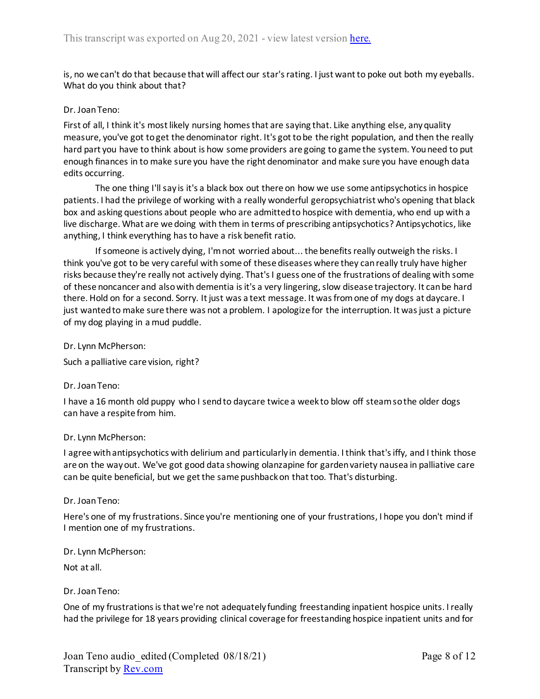is, no we can't do that because that will affect our star's rating. I just want to poke out both my eyeballs. What do you think about that?

### Dr. Joan Teno:

First of all, I think it's most likely nursing homes that are saying that. Like anything else, any quality measure, you've got to get the denominator right. It's got to be the right population, and then the really hard part you have to think about is how some providers are going to game the system. You need to put enough finances in to make sure you have the right denominator and make sure you have enough data edits occurring.

The one thing I'll say is it's a black box out there on how we use some antipsychotics in hospice patients. I had the privilege of working with a really wonderful geropsychiatrist who's opening that black box and asking questions about people who are admitted to hospice with dementia, who end up with a live discharge. What are we doing with them in terms of prescribing antipsychotics? Antipsychotics, like anything, I think everything has to have a risk benefit ratio.

If someone is actively dying, I'm not worried about... the benefits really outweigh the risks. I think you've got to be very careful with some of these diseases where they can really truly have higher risks because they're really not actively dying. That's I guess one of the frustrations of dealing with some of these noncancer and also with dementia is it's a very lingering, slow disease trajectory. It can be hard there. Hold on for a second. Sorry. It just was a text message. It was from one of my dogs at daycare. I just wanted to make sure there was not a problem. I apologize for the interruption. It was just a picture of my dog playing in a mud puddle.

Dr. Lynn McPherson:

Such a palliative care vision, right?

#### Dr. Joan Teno:

I have a 16 month old puppy who I send to daycare twice a week to blow off steam so the older dogs can have a respite from him.

#### Dr. Lynn McPherson:

I agree with antipsychotics with delirium and particularly in dementia. I think that's iffy, and I think those are on the way out. We've got good data showing olanzapine for garden variety nausea in palliative care can be quite beneficial, but we get the same pushback on that too. That's disturbing.

#### Dr. Joan Teno:

Here's one of my frustrations. Since you're mentioning one of your frustrations, I hope you don't mind if I mention one of my frustrations.

Dr. Lynn McPherson:

Not at all.

Dr. Joan Teno:

One of my frustrations is that we're not adequately funding freestanding inpatient hospice units. I really had the privilege for 18 years providing clinical coverage for freestanding hospice inpatient units and for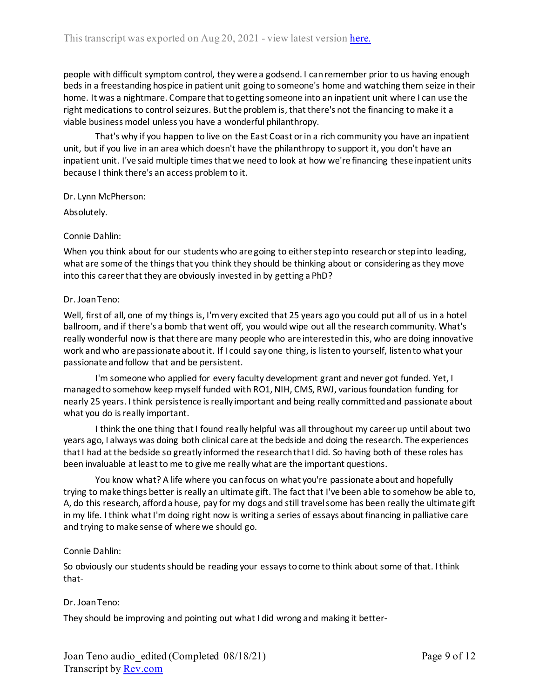people with difficult symptom control, they were a godsend. I can remember prior to us having enough beds in a freestanding hospice in patient unit going to someone's home and watching them seize in their home. It was a nightmare. Compare that to getting someone into an inpatient unit where I can use the right medications to control seizures. But the problem is, that there's not the financing to make it a viable business model unless you have a wonderful philanthropy.

That's why if you happen to live on the East Coast or in a rich community you have an inpatient unit, but if you live in an area which doesn't have the philanthropy to support it, you don't have an inpatient unit. I've said multiple times that we need to look at how we're financing these inpatient units because I think there's an access problem to it.

Dr. Lynn McPherson:

Absolutely.

### Connie Dahlin:

When you think about for our students who are going to either step into research or step into leading, what are some of the things that you think they should be thinking about or considering as they move into this career that they are obviously invested in by getting a PhD?

### Dr. Joan Teno:

Well, first of all, one of my things is, I'm very excited that 25 years ago you could put all of us in a hotel ballroom, and if there's a bomb that went off, you would wipe out all the research community. What's really wonderful now is that there are many people who are interested in this, who are doing innovative work and who are passionate about it. If I could say one thing, is listen to yourself, listen to what your passionate and follow that and be persistent.

I'm someone who applied for every faculty development grant and never got funded. Yet, I managed to somehow keep myself funded with RO1, NIH, CMS, RWJ, various foundation funding for nearly 25 years. I think persistence is really important and being really committed and passionate about what you do is really important.

I think the one thing that I found really helpful was all throughout my career up until about two years ago, I always was doing both clinical care at the bedside and doing the research. The experiences that I had at the bedside so greatly informed the research that I did. So having both of these roles has been invaluable at least to me to give me really what are the important questions.

You know what? A life where you can focus on what you're passionate about and hopefully trying to make things better is really an ultimate gift. The fact that I've been able to somehow be able to, A, do this research, afford a house, pay for my dogs and still travel some has been really the ultimate gift in my life. I think what I'm doing right now is writing a series of essays about financing in palliative care and trying to make sense of where we should go.

# Connie Dahlin:

So obviously our students should be reading your essays to come to think about some of that. I think that-

# Dr. Joan Teno:

They should be improving and pointing out what I did wrong and making it better-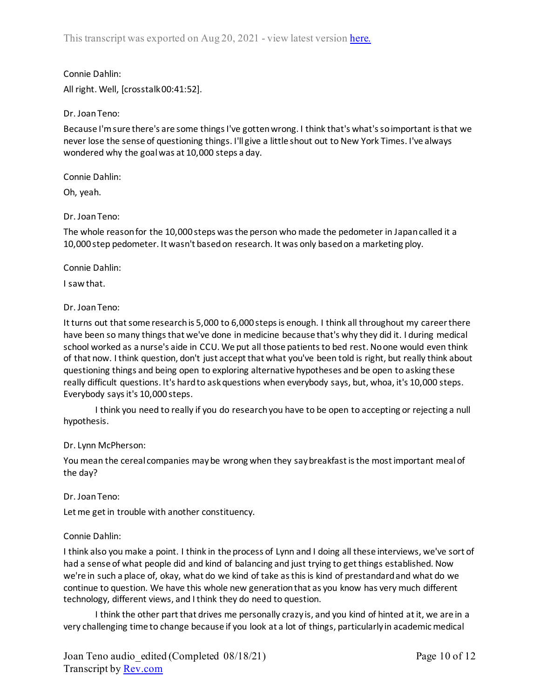Connie Dahlin: All right. Well, [crosstalk 00:41:52].

# Dr. Joan Teno:

Because I'm sure there's are some things I've gotten wrong. I think that's what's so important is that we never lose the sense of questioning things. I'll give a little shout out to New York Times. I've always wondered why the goal was at 10,000 steps a day.

Connie Dahlin:

Oh, yeah.

### Dr. Joan Teno:

The whole reason for the 10,000 steps was the person who made the pedometer in Japan called it a 10,000 step pedometer. It wasn't based on research. It was only based on a marketing ploy.

#### Connie Dahlin:

I saw that.

#### Dr. Joan Teno:

It turns out that some research is 5,000 to 6,000 steps is enough. I think all throughout my career there have been so many things that we've done in medicine because that's why they did it. I during medical school worked as a nurse's aide in CCU. We put all those patients to bed rest. No one would even think of that now. I think question, don't just accept that what you've been told is right, but really think about questioning things and being open to exploring alternative hypotheses and be open to asking these really difficult questions. It's hard to ask questions when everybody says, but, whoa, it's 10,000 steps. Everybody says it's 10,000 steps.

I think you need to really if you do research you have to be open to accepting or rejecting a null hypothesis.

#### Dr. Lynn McPherson:

You mean the cereal companies may be wrong when they say breakfast is the most important meal of the day?

Dr. Joan Teno:

Let me get in trouble with another constituency.

#### Connie Dahlin:

I think also you make a point. I think in the process of Lynn and I doing all these interviews, we've sort of had a sense of what people did and kind of balancing and just trying to get things established. Now we're in such a place of, okay, what do we kind of take as this is kind of prestandard and what do we continue to question. We have this whole new generation that as you know has very much different technology, different views, and I think they do need to question.

I think the other part that drives me personally crazy is, and you kind of hinted at it, we are in a very challenging time to change because if you look at a lot of things, particularly in academic medical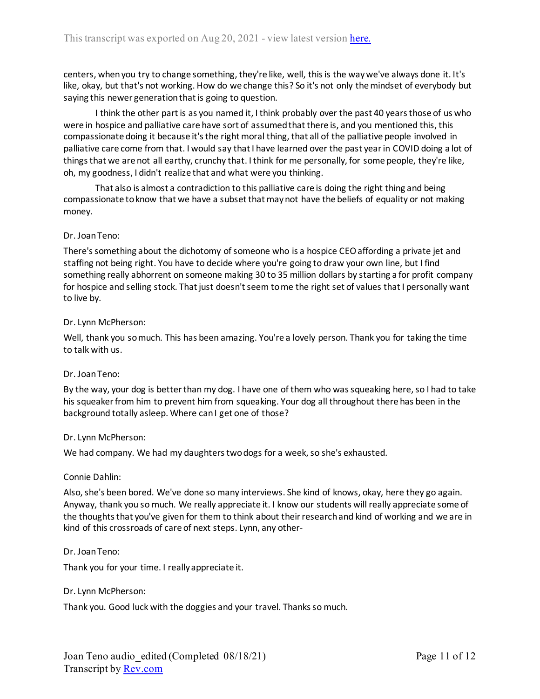centers, when you try to change something, they're like, well, this is the way we've always done it. It's like, okay, but that's not working. How do we change this? So it's not only the mindset of everybody but saying this newer generation that is going to question.

I think the other part is as you named it, I think probably over the past 40 years those of us who were in hospice and palliative care have sort of assumed that there is, and you mentioned this, this compassionate doing it because it's the right moral thing, that all of the palliative people involved in palliative care come from that. I would say that I have learned over the past year in COVID doing a lot of things that we are not all earthy, crunchy that. I think for me personally, for some people, they're like, oh, my goodness, I didn't realize that and what were you thinking.

That also is almost a contradiction to this palliative care is doing the right thing and being compassionate to know that we have a subset that may not have the beliefs of equality or not making money.

### Dr. Joan Teno:

There's something about the dichotomy of someone who is a hospice CEO affording a private jet and staffing not being right. You have to decide where you're going to draw your own line, but I find something really abhorrent on someone making 30 to 35 million dollars by starting a for profit company for hospice and selling stock. That just doesn't seem to me the right set of values that I personally want to live by.

### Dr. Lynn McPherson:

Well, thank you so much. This has been amazing. You're a lovely person. Thank you for taking the time to talk with us.

# Dr. Joan Teno:

By the way, your dog is better than my dog. I have one of them who was squeaking here, so I had to take his squeaker from him to prevent him from squeaking. Your dog all throughout there has been in the background totally asleep. Where can I get one of those?

#### Dr. Lynn McPherson:

We had company. We had my daughters two dogs for a week, so she's exhausted.

#### Connie Dahlin:

Also, she's been bored. We've done so many interviews. She kind of knows, okay, here they go again. Anyway, thank you so much. We really appreciate it. I know our students will really appreciate some of the thoughts that you've given for them to think about their research and kind of working and we are in kind of this crossroads of care of next steps. Lynn, any other-

#### Dr. Joan Teno:

Thank you for your time. I really appreciate it.

#### Dr. Lynn McPherson:

Thank you. Good luck with the doggies and your travel. Thanks so much.